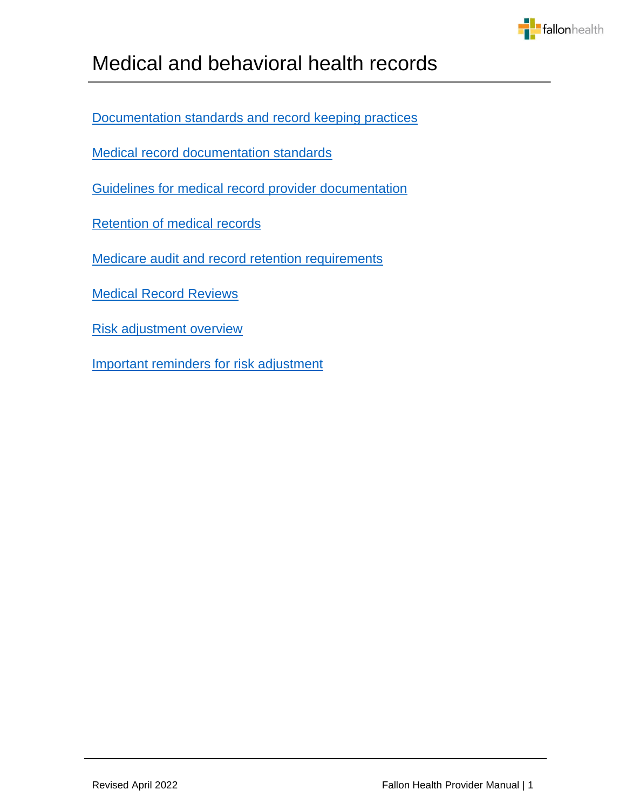

[Documentation standards and record keeping practices](#page-1-0)

[Medical record documentation standards](#page-2-0)

[Guidelines for medical record provider documentation](#page-2-1)

[Retention of medical records](#page-6-0)

[Medicare audit and record retention requirements](#page-6-1)

[Medical Record Reviews](#page-7-0)

[Risk adjustment](#page-8-0) overview

[Important reminders for risk adjustment](#page-9-0)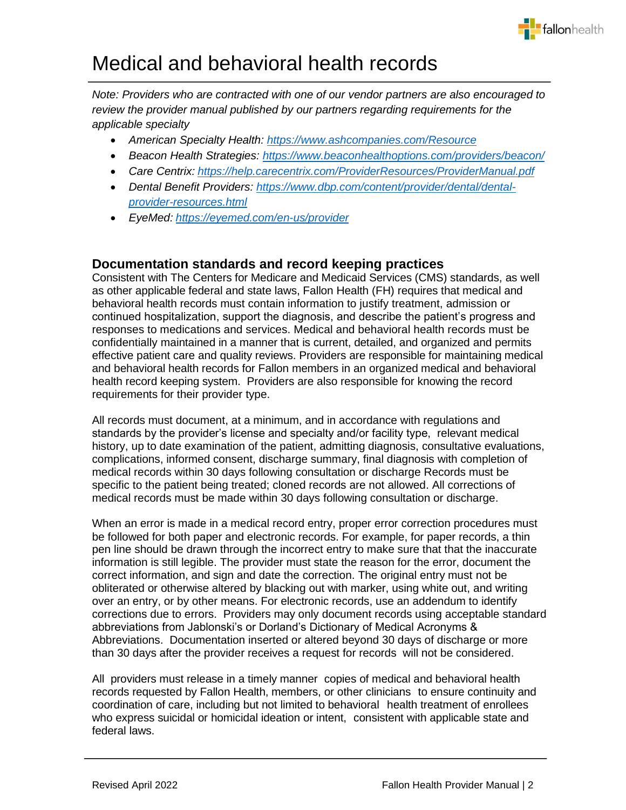

*Note: Providers who are contracted with one of our vendor partners are also encouraged to review the provider manual published by our partners regarding requirements for the applicable specialty*

- *American Specialty Health:<https://www.ashcompanies.com/Resource>*
- *Beacon Health Strategies:<https://www.beaconhealthoptions.com/providers/beacon/>*
- *Care Centrix: <https://help.carecentrix.com/ProviderResources/ProviderManual.pdf>*
- *Dental Benefit Providers: [https://www.dbp.com/content/provider/dental/dental](https://www.dbp.com/content/provider/dental/dental-provider-resources.html)[provider-resources.html](https://www.dbp.com/content/provider/dental/dental-provider-resources.html)*
- *EyeMed: <https://eyemed.com/en-us/provider>*

## <span id="page-1-0"></span>**Documentation standards and record keeping practices**

Consistent with The Centers for Medicare and Medicaid Services (CMS) standards, as well as other applicable federal and state laws, Fallon Health (FH) requires that medical and behavioral health records must contain information to justify treatment, admission or continued hospitalization, support the diagnosis, and describe the patient's progress and responses to medications and services. Medical and behavioral health records must be confidentially maintained in a manner that is current, detailed, and organized and permits effective patient care and quality reviews. Providers are responsible for maintaining medical and behavioral health records for Fallon members in an organized medical and behavioral health record keeping system. Providers are also responsible for knowing the record requirements for their provider type.

All records must document, at a minimum, and in accordance with regulations and standards by the provider's license and specialty and/or facility type, relevant medical history, up to date examination of the patient, admitting diagnosis, consultative evaluations, complications, informed consent, discharge summary, final diagnosis with completion of medical records within 30 days following consultation or discharge Records must be specific to the patient being treated; cloned records are not allowed. All corrections of medical records must be made within 30 days following consultation or discharge.

When an error is made in a medical record entry, proper error correction procedures must be followed for both paper and electronic records. For example, for paper records, a thin pen line should be drawn through the incorrect entry to make sure that that the inaccurate information is still legible. The provider must state the reason for the error, document the correct information, and sign and date the correction. The original entry must not be obliterated or otherwise altered by blacking out with marker, using white out, and writing over an entry, or by other means. For electronic records, use an addendum to identify corrections due to errors. Providers may only document records using acceptable standard abbreviations from Jablonski's or Dorland's Dictionary of Medical Acronyms & Abbreviations. Documentation inserted or altered beyond 30 days of discharge or more than 30 days after the provider receives a request for records will not be considered.

All providers must release in a timely manner copies of medical and behavioral health records requested by Fallon Health, members, or other clinicians to ensure continuity and coordination of care, including but not limited to behavioral health treatment of enrollees who express suicidal or homicidal ideation or intent, consistent with applicable state and federal laws.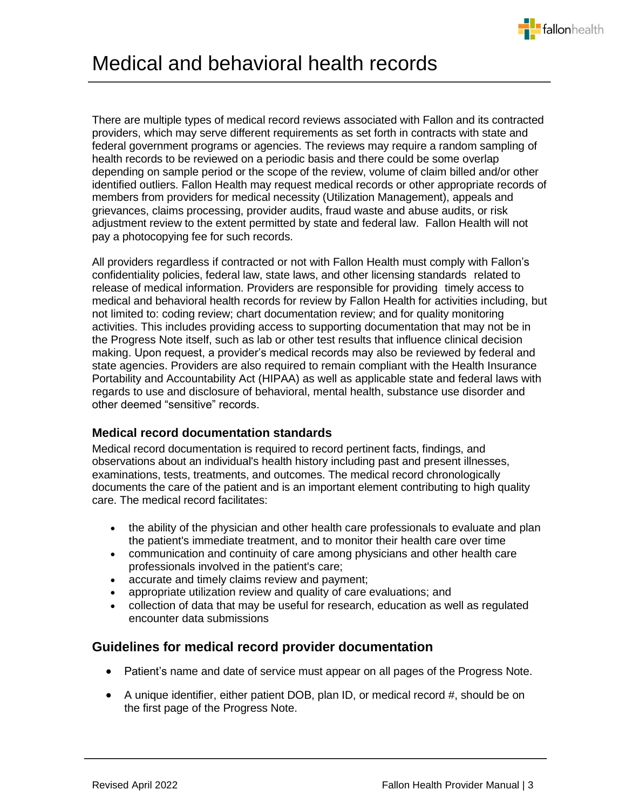

There are multiple types of medical record reviews associated with Fallon and its contracted providers, which may serve different requirements as set forth in contracts with state and federal government programs or agencies. The reviews may require a random sampling of health records to be reviewed on a periodic basis and there could be some overlap depending on sample period or the scope of the review, volume of claim billed and/or other identified outliers. Fallon Health may request medical records or other appropriate records of members from providers for medical necessity (Utilization Management), appeals and grievances, claims processing, provider audits, fraud waste and abuse audits, or risk adjustment review to the extent permitted by state and federal law. Fallon Health will not pay a photocopying fee for such records.

All providers regardless if contracted or not with Fallon Health must comply with Fallon's confidentiality policies, federal law, state laws, and other licensing standards related to release of medical information. Providers are responsible for providing timely access to medical and behavioral health records for review by Fallon Health for activities including, but not limited to: coding review; chart documentation review; and for quality monitoring activities. This includes providing access to supporting documentation that may not be in the Progress Note itself, such as lab or other test results that influence clinical decision making. Upon request, a provider's medical records may also be reviewed by federal and state agencies. Providers are also required to remain compliant with the Health Insurance Portability and Accountability Act (HIPAA) as well as applicable state and federal laws with regards to use and disclosure of behavioral, mental health, substance use disorder and other deemed "sensitive" records.

## <span id="page-2-0"></span>**Medical record documentation standards**

Medical record documentation is required to record pertinent facts, findings, and observations about an individual's health history including past and present illnesses, examinations, tests, treatments, and outcomes. The medical record chronologically documents the care of the patient and is an important element contributing to high quality care. The medical record facilitates:

- the ability of the physician and other health care professionals to evaluate and plan the patient's immediate treatment, and to monitor their health care over time
- communication and continuity of care among physicians and other health care professionals involved in the patient's care;
- accurate and timely claims review and payment;
- appropriate utilization review and quality of care evaluations; and
- collection of data that may be useful for research, education as well as regulated encounter data submissions

## <span id="page-2-1"></span>**Guidelines for medical record provider documentation**

- Patient's name and date of service must appear on all pages of the Progress Note.
- A unique identifier, either patient DOB, plan ID, or medical record #, should be on the first page of the Progress Note.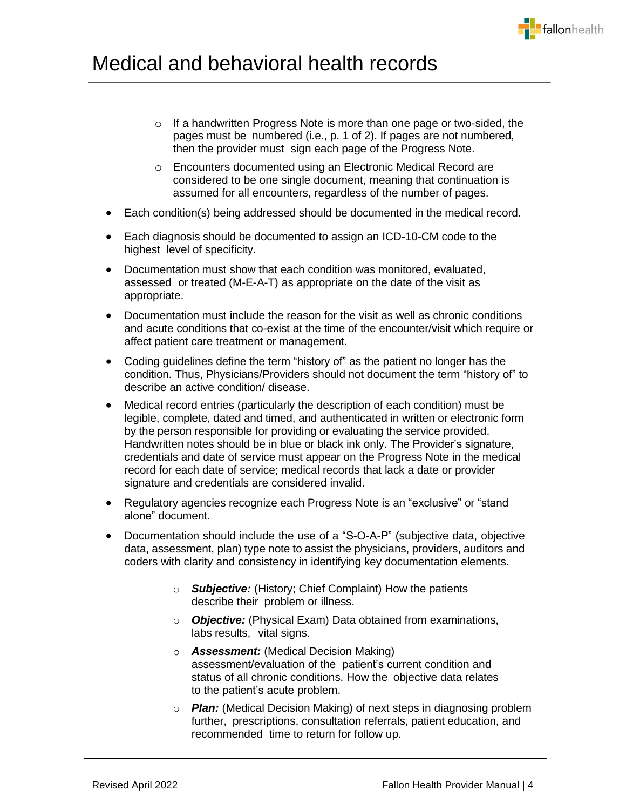- o If a handwritten Progress Note is more than one page or two-sided, the pages must be numbered (i.e., p. 1 of 2). If pages are not numbered, then the provider must sign each page of the Progress Note.
- o Encounters documented using an Electronic Medical Record are considered to be one single document, meaning that continuation is assumed for all encounters, regardless of the number of pages.
- Each condition(s) being addressed should be documented in the medical record.
- Each diagnosis should be documented to assign an ICD-10-CM code to the highest level of specificity.
- Documentation must show that each condition was monitored, evaluated, assessed or treated (M-E-A-T) as appropriate on the date of the visit as appropriate.
- Documentation must include the reason for the visit as well as chronic conditions and acute conditions that co-exist at the time of the encounter/visit which require or affect patient care treatment or management.
- Coding guidelines define the term "history of" as the patient no longer has the condition. Thus, Physicians/Providers should not document the term "history of" to describe an active condition/ disease.
- Medical record entries (particularly the description of each condition) must be legible, complete, dated and timed, and authenticated in written or electronic form by the person responsible for providing or evaluating the service provided. Handwritten notes should be in blue or black ink only. The Provider's signature, credentials and date of service must appear on the Progress Note in the medical record for each date of service; medical records that lack a date or provider signature and credentials are considered invalid.
- Regulatory agencies recognize each Progress Note is an "exclusive" or "stand alone" document.
- Documentation should include the use of a "S-O-A-P" (subjective data, objective data, assessment, plan) type note to assist the physicians, providers, auditors and coders with clarity and consistency in identifying key documentation elements.
	- o *Subjective:* (History; Chief Complaint) How the patients describe their problem or illness.
	- o *Objective:* (Physical Exam) Data obtained from examinations, labs results, vital signs.
	- o *Assessment:* (Medical Decision Making) assessment/evaluation of the patient's current condition and status of all chronic conditions. How the objective data relates to the patient's acute problem.
	- o *Plan:* (Medical Decision Making) of next steps in diagnosing problem further, prescriptions, consultation referrals, patient education, and recommended time to return for follow up.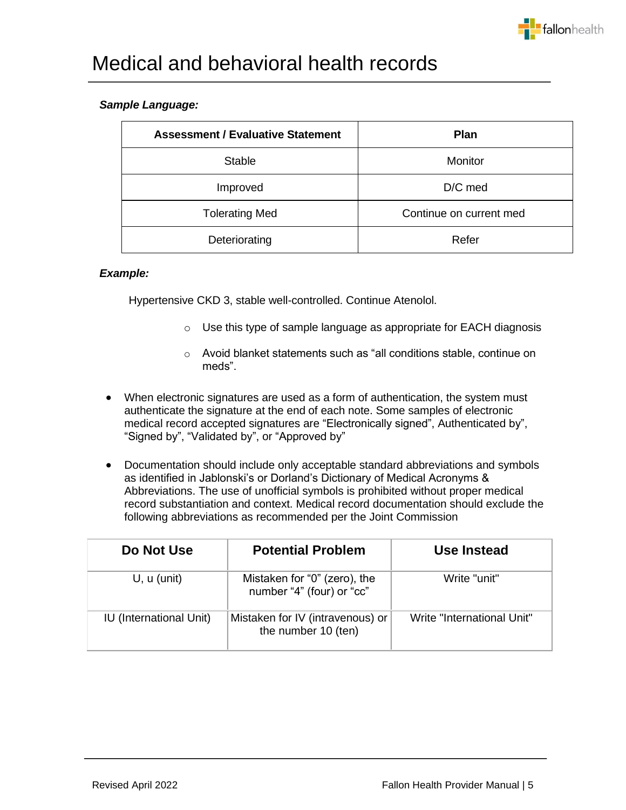

### *Sample Language:*

| <b>Assessment / Evaluative Statement</b> | <b>Plan</b>             |
|------------------------------------------|-------------------------|
| <b>Stable</b>                            | <b>Monitor</b>          |
| Improved                                 | D/C med                 |
| <b>Tolerating Med</b>                    | Continue on current med |
| Deteriorating                            | Refer                   |

#### *Example:*

Hypertensive CKD 3, stable well-controlled. Continue Atenolol.

- o Use this type of sample language as appropriate for EACH diagnosis
- o Avoid blanket statements such as "all conditions stable, continue on meds".
- When electronic signatures are used as a form of authentication, the system must authenticate the signature at the end of each note. Some samples of electronic medical record accepted signatures are "Electronically signed", Authenticated by", "Signed by", "Validated by", or "Approved by"
- Documentation should include only acceptable standard abbreviations and symbols as identified in Jablonski's or Dorland's Dictionary of Medical Acronyms & Abbreviations. The use of unofficial symbols is prohibited without proper medical record substantiation and context. Medical record documentation should exclude the following abbreviations as recommended per the Joint Commission

| Do Not Use                     | <b>Potential Problem</b>                                  | Use Instead                |
|--------------------------------|-----------------------------------------------------------|----------------------------|
| U, u (unit)                    | Mistaken for "0" (zero), the<br>number "4" (four) or "cc" | Write "unit"               |
| <b>IU</b> (International Unit) | Mistaken for IV (intravenous) or<br>the number 10 (ten)   | Write "International Unit" |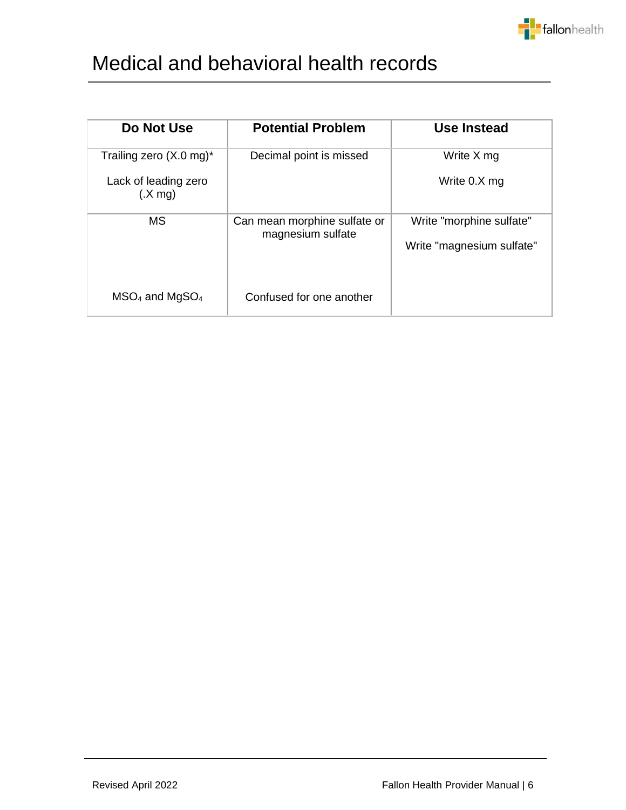

| Do Not Use                                                                     | <b>Potential Problem</b>                          | Use Instead                                           |
|--------------------------------------------------------------------------------|---------------------------------------------------|-------------------------------------------------------|
| Trailing zero $(X.0 \text{ mg})^*$<br>Lack of leading zero<br>$(X \text{ mq})$ | Decimal point is missed                           | Write X mg<br>Write 0.X mg                            |
| <b>MS</b>                                                                      | Can mean morphine sulfate or<br>magnesium sulfate | Write "morphine sulfate"<br>Write "magnesium sulfate" |
| $MSO4$ and MgSO <sub>4</sub>                                                   | Confused for one another                          |                                                       |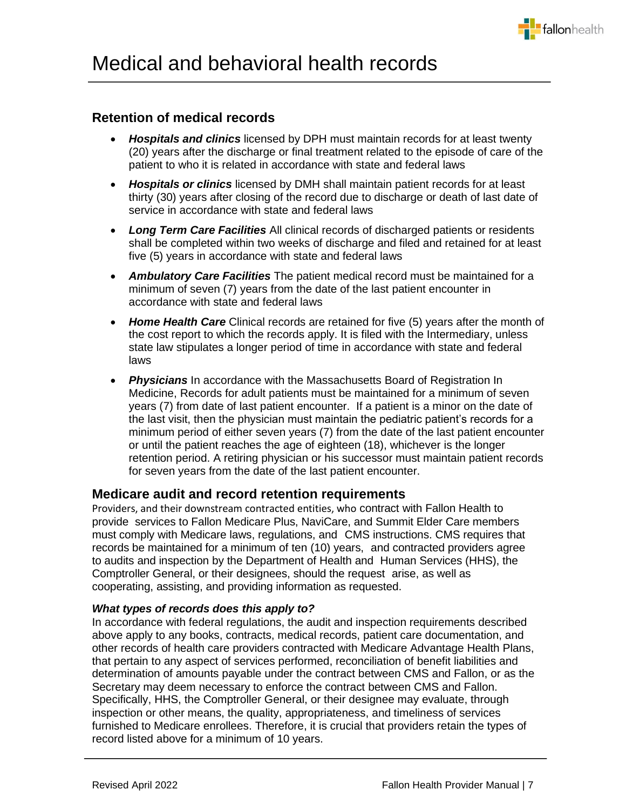

## <span id="page-6-0"></span>**Retention of medical records**

- *Hospitals and clinics* licensed by DPH must maintain records for at least twenty (20) years after the discharge or final treatment related to the episode of care of the patient to who it is related in accordance with state and federal laws
- *Hospitals or clinics* licensed by DMH shall maintain patient records for at least thirty (30) years after closing of the record due to discharge or death of last date of service in accordance with state and federal laws
- **Long Term Care Facilities** All clinical records of discharged patients or residents shall be completed within two weeks of discharge and filed and retained for at least five (5) years in accordance with state and federal laws
- *Ambulatory Care Facilities* The patient medical record must be maintained for a minimum of seven (7) years from the date of the last patient encounter in accordance with state and federal laws
- *Home Health Care* Clinical records are retained for five (5) years after the month of the cost report to which the records apply. It is filed with the Intermediary, unless state law stipulates a longer period of time in accordance with state and federal laws
- *Physicians* In accordance with the Massachusetts Board of Registration In Medicine, Records for adult patients must be maintained for a minimum of seven years (7) from date of last patient encounter. If a patient is a minor on the date of the last visit, then the physician must maintain the pediatric patient's records for a minimum period of either seven years (7) from the date of the last patient encounter or until the patient reaches the age of eighteen (18), whichever is the longer retention period. A retiring physician or his successor must maintain patient records for seven years from the date of the last patient encounter.

## <span id="page-6-1"></span>**Medicare audit and record retention requirements**

Providers, and their downstream contracted entities, who contract with Fallon Health to provide services to Fallon Medicare Plus, NaviCare, and Summit Elder Care members must comply with Medicare laws, regulations, and CMS instructions. CMS requires that records be maintained for a minimum of ten (10) years, and contracted providers agree to audits and inspection by the Department of Health and Human Services (HHS), the Comptroller General, or their designees, should the request arise, as well as cooperating, assisting, and providing information as requested.

### *What types of records does this apply to?*

In accordance with federal regulations, the audit and inspection requirements described above apply to any books, contracts, medical records, patient care documentation, and other records of health care providers contracted with Medicare Advantage Health Plans, that pertain to any aspect of services performed, reconciliation of benefit liabilities and determination of amounts payable under the contract between CMS and Fallon, or as the Secretary may deem necessary to enforce the contract between CMS and Fallon. Specifically, HHS, the Comptroller General, or their designee may evaluate, through inspection or other means, the quality, appropriateness, and timeliness of services furnished to Medicare enrollees. Therefore, it is crucial that providers retain the types of record listed above for a minimum of 10 years.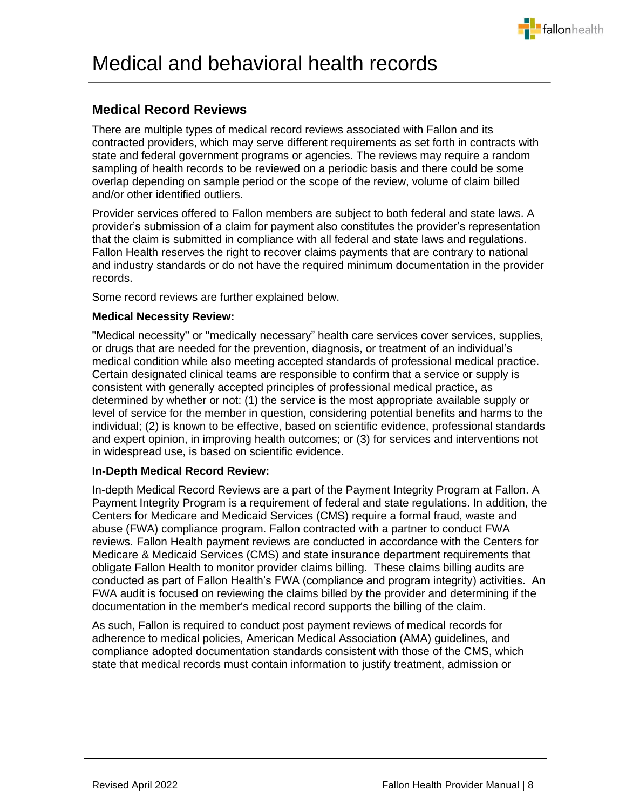

# <span id="page-7-0"></span>**Medical Record Reviews**

There are multiple types of medical record reviews associated with Fallon and its contracted providers, which may serve different requirements as set forth in contracts with state and federal government programs or agencies. The reviews may require a random sampling of health records to be reviewed on a periodic basis and there could be some overlap depending on sample period or the scope of the review, volume of claim billed and/or other identified outliers.

Provider services offered to Fallon members are subject to both federal and state laws. A provider's submission of a claim for payment also constitutes the provider's representation that the claim is submitted in compliance with all federal and state laws and regulations. Fallon Health reserves the right to recover claims payments that are contrary to national and industry standards or do not have the required minimum documentation in the provider records.

Some record reviews are further explained below.

### **Medical Necessity Review:**

''Medical necessity'' or ''medically necessary" health care services cover services, supplies, or drugs that are needed for the prevention, diagnosis, or treatment of an individual's medical condition while also meeting accepted standards of professional medical practice. Certain designated clinical teams are responsible to confirm that a service or supply is consistent with generally accepted principles of professional medical practice, as determined by whether or not: (1) the service is the most appropriate available supply or level of service for the member in question, considering potential benefits and harms to the individual; (2) is known to be effective, based on scientific evidence, professional standards and expert opinion, in improving health outcomes; or (3) for services and interventions not in widespread use, is based on scientific evidence.

#### **In-Depth Medical Record Review:**

In-depth Medical Record Reviews are a part of the Payment Integrity Program at Fallon. A Payment Integrity Program is a requirement of federal and state regulations. In addition, the Centers for Medicare and Medicaid Services (CMS) require a formal fraud, waste and abuse (FWA) compliance program. Fallon contracted with a partner to conduct FWA reviews. Fallon Health payment reviews are conducted in accordance with the Centers for Medicare & Medicaid Services (CMS) and state insurance department requirements that obligate Fallon Health to monitor provider claims billing. These claims billing audits are conducted as part of Fallon Health's FWA (compliance and program integrity) activities. An FWA audit is focused on reviewing the claims billed by the provider and determining if the documentation in the member's medical record supports the billing of the claim.

As such, Fallon is required to conduct post payment reviews of medical records for adherence to medical policies, American Medical Association (AMA) guidelines, and compliance adopted documentation standards consistent with those of the CMS, which state that medical records must contain information to justify treatment, admission or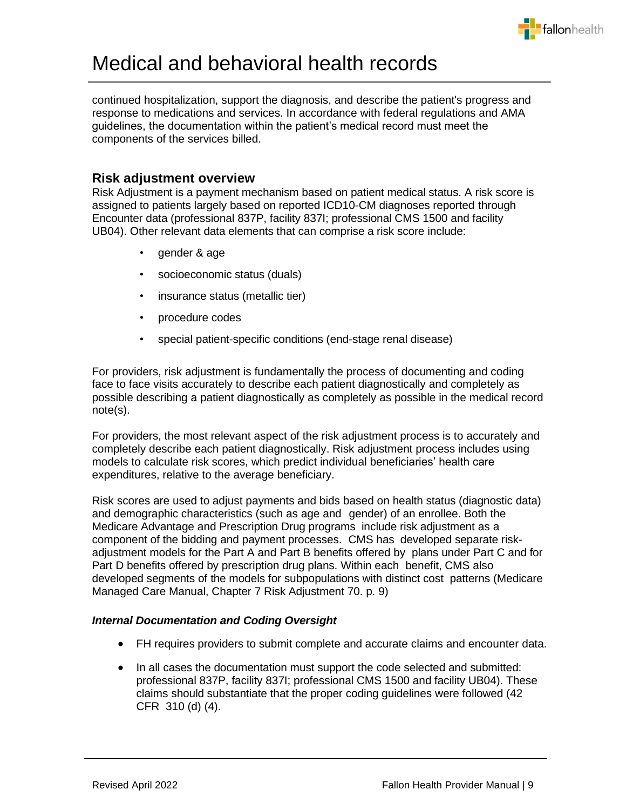

continued hospitalization, support the diagnosis, and describe the patient's progress and response to medications and services. In accordance with federal regulations and AMA guidelines, the documentation within the patient's medical record must meet the components of the services billed.

## <span id="page-8-0"></span>**Risk adjustment overview**

Risk Adjustment is a payment mechanism based on patient medical status. A risk score is assigned to patients largely based on reported ICD10-CM diagnoses reported through Encounter data (professional 837P, facility 837I; professional CMS 1500 and facility UB04). Other relevant data elements that can comprise a risk score include:

- gender & age
- socioeconomic status (duals)
- insurance status (metallic tier)
- procedure codes
- special patient-specific conditions (end-stage renal disease)

For providers, risk adjustment is fundamentally the process of documenting and coding face to face visits accurately to describe each patient diagnostically and completely as possible describing a patient diagnostically as completely as possible in the medical record note(s).

For providers, the most relevant aspect of the risk adjustment process is to accurately and completely describe each patient diagnostically. Risk adjustment process includes using models to calculate risk scores, which predict individual beneficiaries' health care expenditures, relative to the average beneficiary.

Risk scores are used to adjust payments and bids based on health status (diagnostic data) and demographic characteristics (such as age and gender) of an enrollee. Both the Medicare Advantage and Prescription Drug programs include risk adjustment as a component of the bidding and payment processes. CMS has developed separate riskadjustment models for the Part A and Part B benefits offered by plans under Part C and for Part D benefits offered by prescription drug plans. Within each benefit, CMS also developed segments of the models for subpopulations with distinct cost patterns (Medicare Managed Care Manual, Chapter 7 Risk Adjustment 70. p. 9)

### *Internal Documentation and Coding Oversight*

- FH requires providers to submit complete and accurate claims and encounter data.
- In all cases the documentation must support the code selected and submitted: professional 837P, facility 837I; professional CMS 1500 and facility UB04). These claims should substantiate that the proper coding guidelines were followed (42 CFR 310 (d) (4).